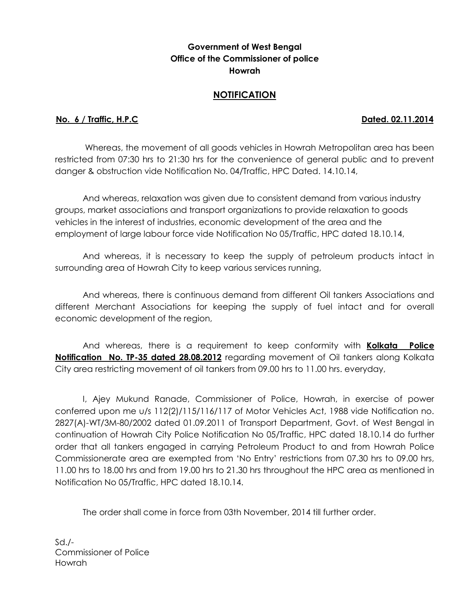# **Government of West Bengal Office of the Commissioner of police Howrah**

### **NOTIFICATION**

#### **No. 6 / Traffic, H.P.C Dated. 02.11.2014**

Whereas, the movement of all goods vehicles in Howrah Metropolitan area has been restricted from 07:30 hrs to 21:30 hrs for the convenience of general public and to prevent danger & obstruction vide Notification No. 04/Traffic, HPC Dated. 14.10.14,

And whereas, relaxation was given due to consistent demand from various industry groups, market associations and transport organizations to provide relaxation to goods vehicles in the interest of industries, economic development of the area and the employment of large labour force vide Notification No 05/Traffic, HPC dated 18.10.14,

And whereas, it is necessary to keep the supply of petroleum products intact in surrounding area of Howrah City to keep various services running,

And whereas, there is continuous demand from different Oil tankers Associations and different Merchant Associations for keeping the supply of fuel intact and for overall economic development of the region,

And whereas, there is a requirement to keep conformity with **Kolkata Police Notification No. TP-35 dated 28.08.2012** regarding movement of Oil tankers along Kolkata City area restricting movement of oil tankers from 09.00 hrs to 11.00 hrs. everyday,

I, Ajey Mukund Ranade, Commissioner of Police, Howrah, in exercise of power conferred upon me u/s 112(2)/115/116/117 of Motor Vehicles Act, 1988 vide Notification no. 2827(A)-WT/3M-80/2002 dated 01.09.2011 of Transport Department, Govt. of West Bengal in continuation of Howrah City Police Notification No 05/Traffic, HPC dated 18.10.14 do further order that all tankers engaged in carrying Petroleum Product to and from Howrah Police Commissionerate area are exempted from 'No Entry' restrictions from 07.30 hrs to 09.00 hrs, 11.00 hrs to 18.00 hrs and from 19.00 hrs to 21.30 hrs throughout the HPC area as mentioned in Notification No 05/Traffic, HPC dated 18.10.14.

The order shall come in force from 03th November, 2014 till further order.

Sd./- Commissioner of Police Howrah